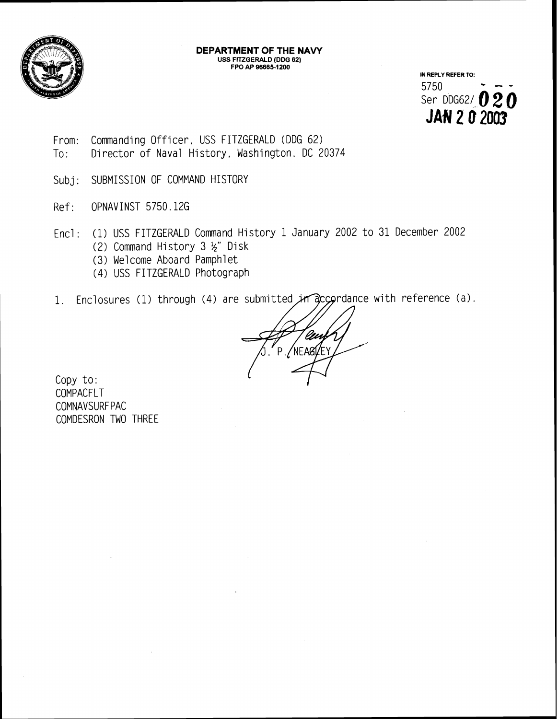

## **DEPARTMENT OF THE NAVY USS FITZGERALD (DDG 62) FPO AP 966651200**

**IN REPLY REFER TO:**  5750 - -- 5750<br>Ser DDG62/ **020 JAN 2 0 2003** 

- From: Commanding Officer, USS FITZGERALD (DDG 62) To: Director of Naval History, Washington, DC 20374
- Subj: SUBMISSION OF COMMAND HISTORY
- Ref: OPNAVINST 5750.126
- Encl : (1) USS FITZGERALD Command History 1 January 2002 to 31 December 2002 (2) Command History 3  $\frac{1}{2}$ " Disk
	- (3) We1 come Aboard Pamphl et
	- (4) USS FITZGERALD Photograph
- 1. Enclosures (1) through (4) are submitted in accordance with reference (a).

NFARI/FY Þ.

Copy to: COMPACFLT **COMNAVSURFPAC** COMDESRON TWO THREE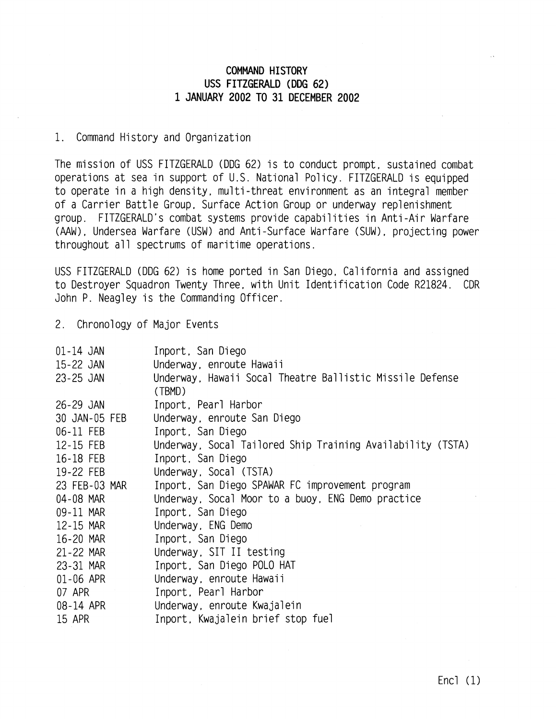## **COMMAND HI STORY USS FITZGERALD (DDG 62) 1 JANUARY 2002 TO 31 DECEMBER 2002**

## 1. Command History and Organization

The mission of USS FITZGERALD (DDG 62) is to conduct prompt, sustained combat operations at sea in support of U.S. National Policy. FITZGERALD is equipped to operate in a high density, multi-threat environment as an integral member of a Carrier Battle Group, Surface Action Group or underway replenishment group. FITZGERALD's combat systems provide capabilities in Anti-Air Warfare (AAW) , Undersea Warfare (USW) and Anti -Surface Warfare (SUM), projecting power throughout all spectrums of maritime operations.

USS FITZGERALD (DDG 62) is home ported in San Diego, Cal ifornia and assigned to Destroyer Squadron Twenty Three, with Unit Identification Code R21824. CDR John P. Neagley is the Commanding Officer.

2. Chronology of Major Events

| $01-14$ JAN   | Inport, San Diego                                          |
|---------------|------------------------------------------------------------|
| 15-22 JAN     | Underway, enroute Hawaii                                   |
| 23-25 JAN     | Underway, Hawaii Socal Theatre Ballistic Missile Defense   |
|               | (TBMD)                                                     |
| 26-29 JAN     | Inport, Pearl Harbor                                       |
| 30 JAN-05 FEB | Underway, enroute San Diego                                |
| 06-11 FEB     | Inport, San Diego                                          |
| 12-15 FEB     | Underway, Socal Tailored Ship Training Availability (TSTA) |
| 16-18 FEB     | Inport, San Diego                                          |
| 19-22 FEB     | Underway, Socal (TSTA)                                     |
| 23 FEB-03 MAR | Inport, San Diego SPAWAR FC improvement program            |
| 04-08 MAR     | Underway, Socal Moor to a buoy, ENG Demo practice          |
| 09-11 MAR     | Inport, San Diego                                          |
| 12-15 MAR     | Underway, ENG Demo                                         |
| 16-20 MAR     | Inport, San Diego                                          |
| 21-22 MAR     | Underway, SIT II testing                                   |
| 23-31 MAR     | Inport, San Diego POLO HAT                                 |
| 01-06 APR     | Underway, enroute Hawaii                                   |
| 07 APR        | Inport, Pearl Harbor                                       |
| 08-14 APR     | Underway, enroute Kwajalein                                |
| 15 APR        | Inport, Kwajalein brief stop fuel                          |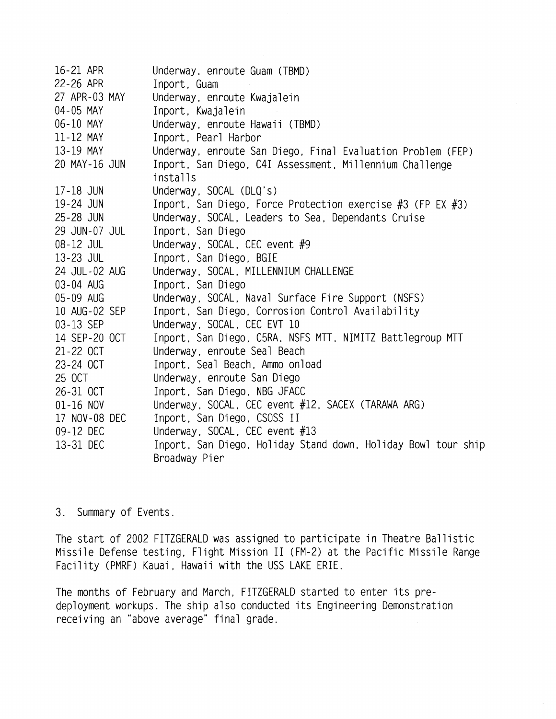16-21 APR 22-26 APR 27 APR-03 MAY 04-05 MAY 06-10 MAY 11-12 MAY 13-19 MAY 20 MAY-16 JUN 17-18 JUN 19-24 JUN 25-28 JUN 29 JUN-07 JUL 08-12 JUL 13-23 JUL 24 JUL-02 AUG 03-04 AUG 05-09 AUG 10 AUG-02 SEP 03-13 SEP 14 SEP-20 OCT 21-22 OCT 23-24 OCT 25 OCT 26-31 OCT 01-16 NOV 17 NOV-08 DEC 09-12 DEC 13-31 DEC Underway, enroute Guam (TBMD) Inport, Guam Underway, enroute Kwajalein Inport, Kwajalein Underway, enroute Hawaii (TBMD) Inport, Pearl Harbor Underway, enroute San Diego, Final Evaluation Problem (FEP) Inport, San Diego, C4I Assessment, Millennium Challenge installs Underway, SOCAL (DLO's) Inport, San Diego, Force Protection exercise #3 (FP EX #3) Underway, SOCAL, Leaders to Sea, Dependants Cruise Inport, San Diego Underway, SOCAL, CEC event #9 Inport, San Diego, BGIE Underway, SOCAL, MILLENNIUM CHALLENGE Inport, San Diego Underway, SOCAL, Naval Surface Fire Support (NSFS)<br>Inport, San Diego, Corrosion Control Availability<br>... Underway, SOCAL, CEC EVT 10 Inport, San Diego, C5RA, NSFS MTT, NIMITZ Battlegroup MTT Underway, enroute Seal Beach Inport, Seal Beach, Ammo onload Underway, enroute San Diego Inport, San Diego, NBG JFACC Underway, SOCAL, CEC event #12, SACEX (TARAWA ARG) Inport, San Diego, CSOSS I1 Underway, SOCAL, CEC event #13 Inport, San Diego, Holiday Stand down, Holiday Bowl tour ship Broadway Pier

## 3. Summary of Events.

The start of 2002 FITZGERALD was assigned to participate in Theatre Ballistic Missile Defense testing, Flight Mission I1 (FM-2) at the Pacific Missile Range Facility (PMRF) Kauai, Hawaii with the USS LAKE ERIE.

The months of February and March, FITZGERALD started to enter its predeployment workups. The ship also conducted its Engineering Demonstration receiving an "above average" final grade.